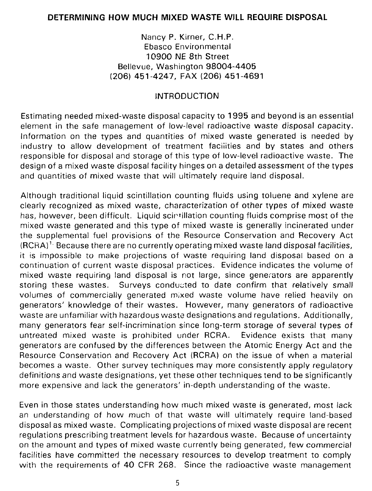#### **DETERMINING HOW MUCH MIXED WASTE WILL REQUIRE DISPOSAL**

Nancy P. Kirner, C.H.P. Ebasco Environmental 10900 IME 8th Street Bellevue, Washington 98004-4405 (206) 451-4247, FAX (206) 451-4691

## INTRODUCTION

Estimating needed mixed-waste disposal capacity to 1995 and beyond is an essential element in the safe management of low-level radioactive waste disposal capacity. Information on the types and quantities of mixed waste generated is needed by industry to allow development of treatment facilities and by states and others responsible for disposal and storage of this type of low-level radioactive waste. The design of a mixed waste disposal facility hinges on a detailed assessment of the types and quantities of mixed waste that will ultimately require land disposal.

Although traditional liquid scintillation counting fluids using toluene and xylene are clearly recognized as mixed waste, characterization of other types of mixed waste has, however, been difficult. Liquid scirtillation counting fluids comprise most of the mixed waste generated and this type of mixed waste is generally incinerated under the supplemental fuel provisions of the Resource Conservation and Recovery Act (RCRA)<sup>1.</sup> Because there are no currently operating mixed waste land disposal facilities, it is impossible to make projections of waste requiring land disposal based on a continuation of current waste disposal practices. Evidence indicates the volume of mixed waste requiring land disposal is not large, since generators are apparently storing these wastes. Surveys conducted to date confirm that relatively small volumes of commercially generated mixed waste volume have relied heavily on generators' knowledge of their wastes. However, many generators of radioactive waste are unfamiliar with hazardous waste designations and regulations. Additionally, many generators fear self-incrimination since long-term storage of several types of untreated mixed waste is prohibited under RCRA. Evidence exists that many generators are confused by the differences between the Atomic Energy Act and the Resource Conservation and Recovery Act (RCRA) on the issue of when a material becomes a waste. Other survey techniques may more consistently apply regulatory definitions and waste designations, yet these other techniques tend to be significantly more expensive and lack the generators' in-depth understanding of the waste.

Even in those states understanding how much mixed waste is generated, most lack an understanding of how much of that waste will ultimately require land-based disposal as mixed waste. Complicating projections of mixed waste disposal are recent regulations prescribing treatment levels for hazardous waste. Because of uncertainty on the amount and types of mixed waste currently being generated, few commercial facilities have committed the necessary resources to develop treatment to comply with the requirements of 40 CFR 268. Since the radioactive waste management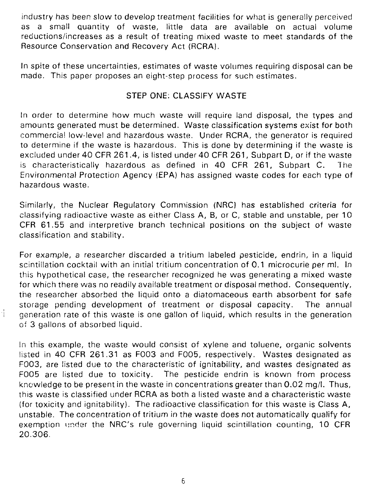industry has been slow to develop treatment facilities for what is generally perceived as a small quantity of waste, little data are available on actual volume reductions/increases as a result of treating mixed waste to meet standards of the Resource Conservation and Recovery Act (RCRA).

In spite of these uncertainties, estimates of waste volumes requiring disposal can be made. This paper proposes an eight-step process for such estimates.

## STEP ONE: CLASSIFY **WASTE**

In order to determine how much waste will require land disposal, the types and amounts generated must be determined. Waste classification systems exist for both commercial low-level and hazardous waste. Under RCRA, the generator is required to determine if the waste is hazardous. This is done by determining if the waste is excluded under 40 CFR 261.4, is listed under 40 CFR 261, Subpart D, or if the waste is characteristically hazardous as defined in 40 CFR 261, Subpart C. The Environmental Protection Agency (EPA) has assigned waste codes for each type of hazardous waste.

Similarly, the Nuclear Regulatory Commission (NRC) has established criteria for classifying radioactive waste as either Class A, B, or C, stable and unstable, per 10 CFR 61.55 and interpretive branch technical positions on the subject of waste classification and stability.

For example, a researcher discarded a tritium labeled pesticide, endrin, in a liquid scintillation cocktail with an initial tritium concentration of 0.1 microcurie per ml. In this hypothetical case, the researcher recognized he was generating a mixed waste for which there was no readily available treatment or disposal method. Consequently, the researcher absorbed the liquid onto a diatomaceous earth absorbent for safe storage pending development of treatment or disposal capacity. The annual generation rate of this waste is one gallon of liquid, which results in the generation of 3 gallons of absorbed liquid.

4

In this example, the waste would consist of xylene and toluene, organic solvents listed in 40 CFR 261.31 as F003 and F005, respectively. Wastes designated as F003, are listed due to the characteristic of ignitability, and wastes designated as F005 are listed due to toxicity. The pesticide endrin is known from process knowledge to be present in the waste in concentrations greater than 0.02 mg/l. Thus, this waste is classified under RCRA as both a listed waste and a characteristic waste (for toxicity and ignitability). The radioactive classification for this waste is Class A, unstable. The concentration of tritium in the waste does not automatically qualify for exemption under the NRC's rule governing liquid scintillation counting, 10 CFR 20.306.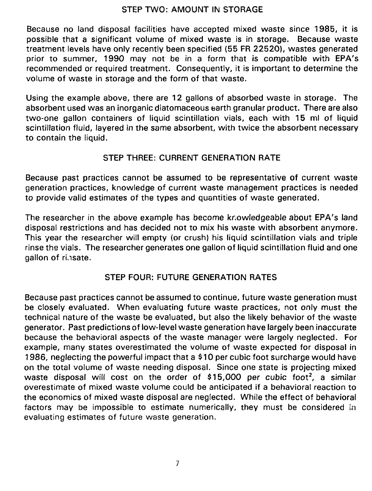#### STEP TWO: AMOUNT IN STORAGE

Because no land disposal facilities have accepted mixed waste since 1985, it is possible that a significant volume of mixed waste is in storage. Because waste treatment levels have only recently been specified (55 FR 22520), wastes generated prior to summer, 1990 may not be in a form that is compatible with EPA's recommended or required treatment. Consequently, it is important to determine the volume of waste in storage and the form of that waste.

Using the example above, there are 12 gallons of absorbed waste in storage. The absorbent used was an inorganic diatomaceous earth granular product. There are also two-one gallon containers of liquid scintillation vials, each with 15 ml of liquid scintillation fluid, layered in the same absorbent, with twice the absorbent necessary to contain the liquid.

## STEP THREE: CURRENT GENERATION RATE

Because past practices cannot be assumed to be representative of current waste generation practices, knowledge of current waste management practices is needed to provide valid estimates of the types and quantities of waste generated.

The researcher in the above example has become knowledgeable about EPA's land disposal restrictions and has decided not to mix his waste with absorbent anymore. This year the researcher will empty (or crush) his liquid scintillation vials and triple rinse the vials. The researcher generates one gallon of liquid scintillation fluid and one gallon of rinsate.

# STEP FOUR: FUTURE GENERATION RATES

Because past practices cannot be assumed to continue, future waste generation must be closely evaluated. When evaluating future waste practices, not only must the technical nature of the waste be evaluated, but also the likely behavior of the waste generator. Past predictions of low-level waste generation have largely been inaccurate because the behavioral aspects of the waste manager were largely neglected. For example, many states overestimated the volume of waste expected for disposal in 1986, neglecting the powerful impact that a \$ 10 per cubic foot surcharge would have on the total volume of waste needing disposal. Since one state is projecting mixed waste disposal will cost on the order of \$15,000 per cubic foot<sup>2</sup>, a similar overestimate of mixed waste volume could be anticipated if a behavioral reaction to the economics of mixed waste disposal are neglected. While the effect of behavioral factors may be impossible to estimate numerically, they must be considered in evaluating estimates of future waste generation.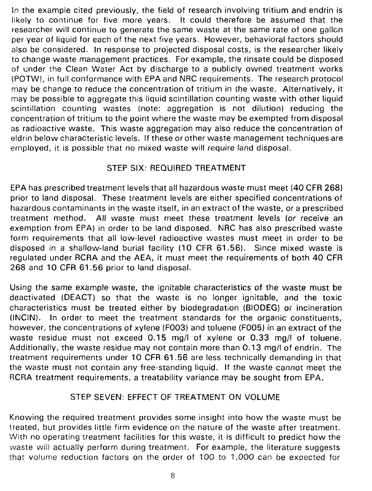In the example cited previously, the field of research involving tritium and endrin is likely to continue for five more years. It could therefore be assumed that the researcher will continue to generate the same waste at the same rate of one gallon per year of liquid for each of the next five years. However, behavioral factors should also be considered. In response to projected disposal costs, is the researcher likely to change waste management practices. For example, the rinsate could be disposed of under the Clean Water Act by discharge to a publicly owned treatment works (POTW), in full conformance with EPA and NRC requirements. The research protocol may be change to reduce the concentration of tritium in the waste. Alternatively, it may be possible to aggregate this liquid scintillation counting waste with other liquid scintillation counting wastes (note: aggregation is not dilution) reducing the concentration of tritium to the point where the waste may be exempted from disposal as radioactive waste. This waste aggregation may also reduce the concentration of eldrin below characteristic levels. If these or other waste management techniques are employed, it is possible that no mixed waste will require land disposal.

## STEP SIX: REQUIRED TREATMENT

EPA has prescribed treatment levels that all hazardous waste must meet (40 CFR 268) prior to land disposal. These treatment levels are either specified concentrations of hazardous contaminants in the waste itself, in an extract of the waste, or a prescribed treatment method. All waste must meet these treatment levels (or receive an exemption from EPA) in order to be land disposed. NRC has also prescribed waste form requirements that all low-level radioactive wastes must meet in order to be disposed in a shallow-land burial facility (10 CFR 61.56). Since mixed waste is regulated under RCRA and the AEA, it must meet the requirements of both 40 CFR 268 and 10 CFR 61.56 prior to land disposal.

Using the same example waste, the ignitable characteristics of the waste must be deactivated (DEACT) so that the waste is no longer ignitable, and the toxic characteristics must be treated either by biodegradation (BIODEG) or incineration (INCIN). In order to meet the treatment standards for the organic constituents, however, the concentrations of xylene (F003) and toluene (F005) in an extract of the waste residue must not exceed 0.15 mg/l of xylene or 0.33 mg/l of toluene. Additionally, the waste residue may not contain more than 0.13 mg/l of endrin. The treatment requirements under 10 CFR 61.56 are less technically demanding in that the waste must not contain any free-standing liquid. If the waste cannot meet the RCRA treatment requirements, a treatability variance may be sought from EPA.

## STEP SEVEN: EFFECT OF TREATMENT ON VOLUME

Knowing the required treatment provides some insight into how the waste must be treated, but provides little firm evidence on the nature of the waste after treatment. With no operating treatment facilities for this waste, it is difficult to predict how the waste will actually perform during treatment. For example, the literature suggests that volume reduction factors on the order of 100 to 1,000 can be expected for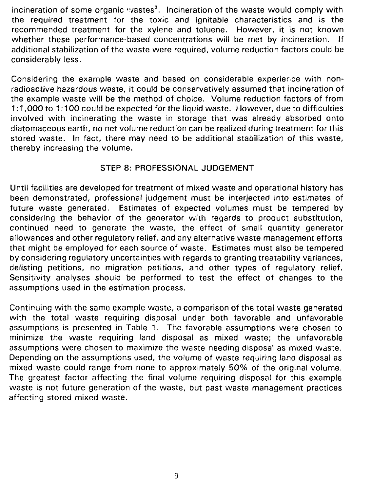incineration of some organic wastes<sup>3</sup>. Incineration of the waste would comply with the required treatment for the toxic and ignitable characteristics and is the recommended treatment for the xyiene and toluene. However, it is not known whether these performance-based concentrations will be met by incineration. If additional stabilization of the waste were required, volume reduction factors could be considerably less.

Considering the example waste and based on considerable experience with nonradioactive hazardous waste, it could be conservatively assumed that incineration of the example waste will be the method of choice. Volume reduction factors of from 1:1,000 to 1:100 could be expected for the liquid waste. However, due to difficulties involved with incinerating the waste in storage that was already absorbed onto diatomaceous earth, no net volume reduction can be realized during treatment for this stored waste. In fact, there may need to be additional stabilization of this waste, thereby increasing the volume.

## STEP 8: PROFESSIONAL JUDGEMENT

Until facilities are developed for treatment of mixed waste and operational history has been demonstrated, professional judgement must be interjected into estimates of future waste generated. Estimates of expected volumes must be tempered by considering the behavior of the generator with regards to product substitution, continued need to generate the waste, the effect of small quantity generator allowances and other regulatory relief, and any alternative waste management efforts that might be employed for each source of waste. Estimates must also be tempered by considering regulatory uncertainties with regards to granting treatability variances, delisting petitions, no migration petitions, and other types of regulatory relief. Sensitivity analyses should be performed to test the effect of changes to the assumptions used in the estimation process.

Continuing with the same example waste, a comparison of the total waste generated with the total waste requiring disposal under both favorable and unfavorable assumptions is presented in Table 1. The favorable assumptions were chosen to minimize the waste requiring land disposal as mixed waste; the unfavorable assumptions were chosen to maximize the waste needing disposal as mixed waste. Depending on the assumptions used, the volume of waste requiring land disposal as mixed waste could range from none to approximately 50% of the original volume. The greatest factor affecting the final volume requiring disposal for this example waste is not future generation of the waste, but past waste management practices affecting stored mixed waste.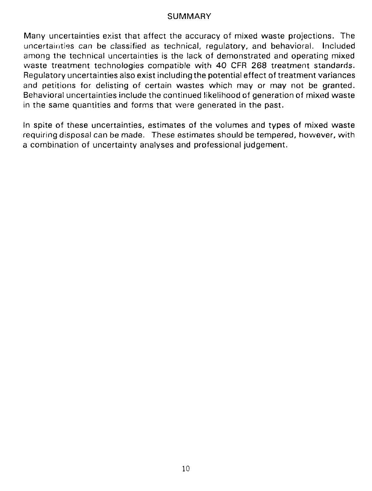#### SUMMARY

Many uncertainties exist that affect the accuracy of mixed waste projections. The uncertainties can be classified as technical, regulatory, and behavioral. Included among the technical uncertainties is the lack of demonstrated and operating mixed waste treatment technologies compatible with 40 CFR 268 treatment standards. Regulatory uncertainties also exist including the potential effect of treatment variances and petitions for delisting of certain wastes which may or may not be granted. Behavioral uncertainties include the continued likelihood of generation of mixed waste in the same quantities and forms that were generated in the past.

In spite of these uncertainties, estimates of the volumes and types of mixed waste requiring disposal can be made. These estimates should be tempered, however, with a combination of uncertainty analyses and professional judgement.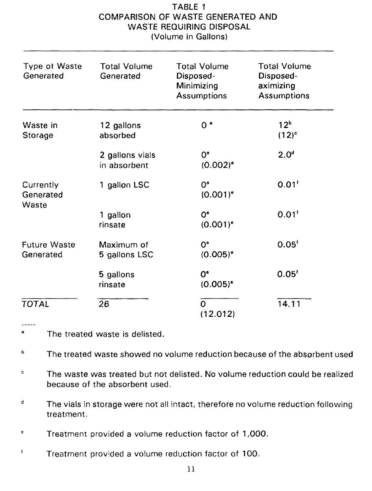## TABLE 1 COMPARISON OF WASTE GENERATED AND WASTE REQUIRING DISPOSAL (Volume in Gallons)

| <b>Type of Waste</b><br>Generated | <b>Total Volume</b><br>Generated | <b>Total Volume</b><br>Disposed-<br>Minimizing<br><b>Assumptions</b> | <b>Total Volume</b><br>Disposed-<br>aximizing<br><b>Assumptions</b> |
|-----------------------------------|----------------------------------|----------------------------------------------------------------------|---------------------------------------------------------------------|
| Waste in<br>Storage               | 12 gallons<br>absorbed           | 0 <sup>o</sup>                                                       | 12 <sup>b</sup><br>$(12)^c$                                         |
|                                   | 2 gallons vials<br>in absorbent  | $0^{\circ}$<br>$(0.002)^e$                                           | 2.0 <sup>d</sup>                                                    |
| Currently<br>Generated<br>Waste   | 1 gallon LSC                     | $0^{\circ}$<br>$(0.001)^{o}$                                         | 0.01 <sup>t</sup>                                                   |
|                                   | 1 gallon<br>rinsate              | O <sup>o</sup><br>$(0.001)^{o}$                                      | 0.01 <sup>t</sup>                                                   |
| <b>Future Waste</b><br>Generated  | Maximum of<br>5 gallons LSC      | O <sup>a</sup><br>$(0.005)^{o}$                                      | 0.05 <sup>t</sup>                                                   |
|                                   | 5 gallons<br>rinsate             | $0^{\circ}$<br>$(0.005)^{\circ}$                                     | 0.05 <sup>t</sup>                                                   |
| <b>TOTAL</b>                      | 26                               | $\Omega$<br>(12.012)                                                 | 14.11                                                               |

a The treated waste is delisted.

The treated waste showed no volume reduction because of the absorbent used ь

 $\mathbf c$ The waste was treated but not delisted. No volume reduction could be realized because of the absorbent used.

 $\mathbf d$ The vials in storage were not all intact, therefore no volume reduction following treatment.

e Treatment provided a volume reduction factor of 1,000.

 $\mathbf i$ Treatment provided a volume reduction factor of 100.